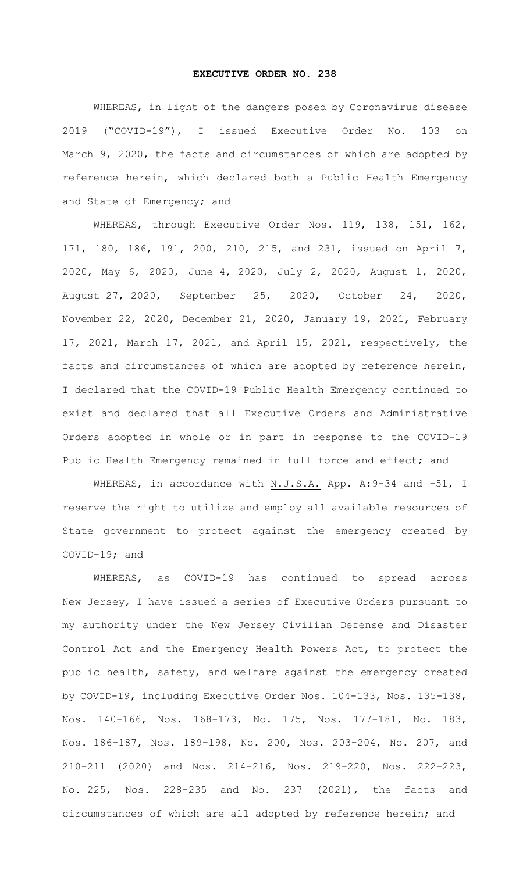## **EXECUTIVE ORDER NO. 238**

WHEREAS, in light of the dangers posed by Coronavirus disease 2019 ("COVID-19"), I issued Executive Order No. 103 on March 9, 2020, the facts and circumstances of which are adopted by reference herein, which declared both a Public Health Emergency and State of Emergency; and

WHEREAS, through Executive Order Nos. 119, 138, 151, 162, 171, 180, 186, 191, 200, 210, 215, and 231, issued on April 7, 2020, May 6, 2020, June 4, 2020, July 2, 2020, August 1, 2020, August 27, 2020, September 25, 2020, October 24, 2020, November 22, 2020, December 21, 2020, January 19, 2021, February 17, 2021, March 17, 2021, and April 15, 2021, respectively, the facts and circumstances of which are adopted by reference herein, I declared that the COVID-19 Public Health Emergency continued to exist and declared that all Executive Orders and Administrative Orders adopted in whole or in part in response to the COVID-19 Public Health Emergency remained in full force and effect; and

WHEREAS, in accordance with N.J.S.A. App. A: 9-34 and -51, I reserve the right to utilize and employ all available resources of State government to protect against the emergency created by COVID-19; and

WHEREAS, as COVID-19 has continued to spread across New Jersey, I have issued a series of Executive Orders pursuant to my authority under the New Jersey Civilian Defense and Disaster Control Act and the Emergency Health Powers Act, to protect the public health, safety, and welfare against the emergency created by COVID-19, including Executive Order Nos. 104-133, Nos. 135-138, Nos. 140-166, Nos. 168-173, No. 175, Nos. 177-181, No. 183, Nos. 186-187, Nos. 189-198, No. 200, Nos. 203-204, No. 207, and 210-211 (2020) and Nos. 214-216, Nos. 219-220, Nos. 222-223, No. 225, Nos. 228-235 and No. 237 (2021), the facts and circumstances of which are all adopted by reference herein; and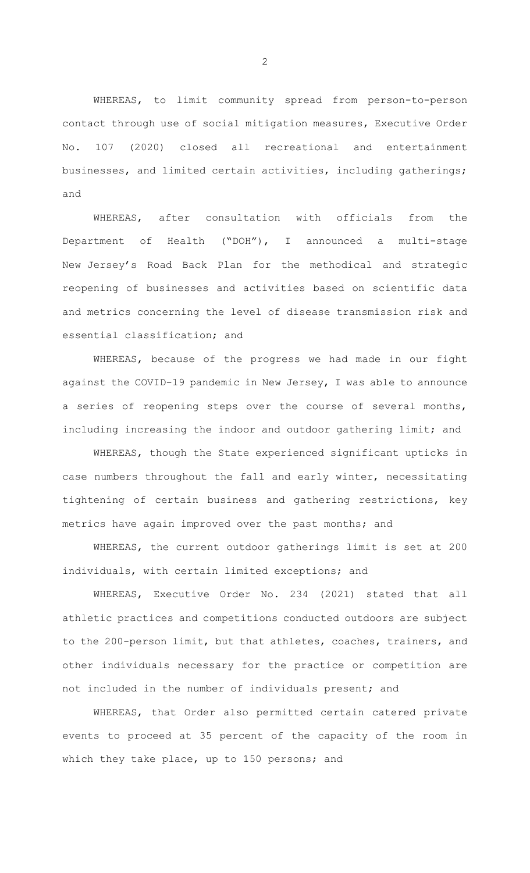WHEREAS, to limit community spread from person-to-person contact through use of social mitigation measures, Executive Order No. 107 (2020) closed all recreational and entertainment businesses, and limited certain activities, including gatherings; and

WHEREAS, after consultation with officials from the Department of Health ("DOH"), I announced a multi-stage New Jersey's Road Back Plan for the methodical and strategic reopening of businesses and activities based on scientific data and metrics concerning the level of disease transmission risk and essential classification; and

WHEREAS, because of the progress we had made in our fight against the COVID-19 pandemic in New Jersey, I was able to announce a series of reopening steps over the course of several months, including increasing the indoor and outdoor gathering limit; and

WHEREAS, though the State experienced significant upticks in case numbers throughout the fall and early winter, necessitating tightening of certain business and gathering restrictions, key metrics have again improved over the past months; and

WHEREAS, the current outdoor gatherings limit is set at 200 individuals, with certain limited exceptions; and

WHEREAS, Executive Order No. 234 (2021) stated that all athletic practices and competitions conducted outdoors are subject to the 200-person limit, but that athletes, coaches, trainers, and other individuals necessary for the practice or competition are not included in the number of individuals present; and

WHEREAS, that Order also permitted certain catered private events to proceed at 35 percent of the capacity of the room in which they take place, up to 150 persons; and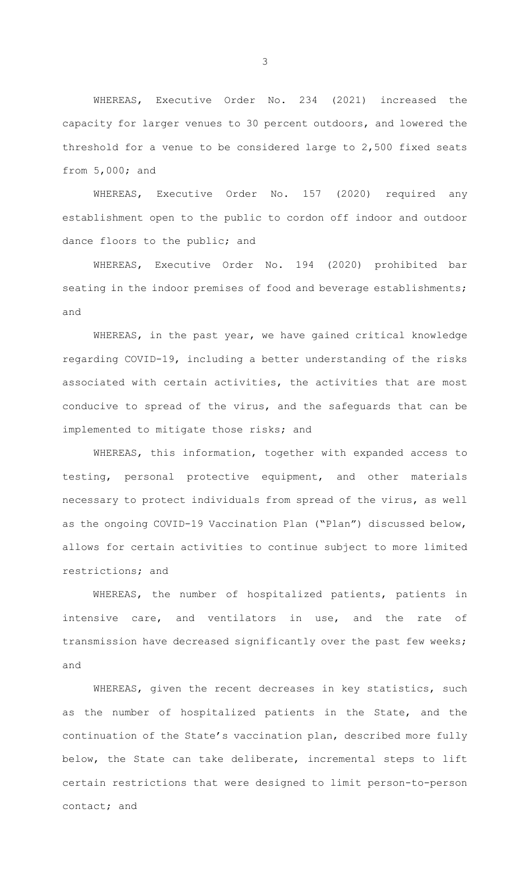WHEREAS, Executive Order No. 234 (2021) increased the capacity for larger venues to 30 percent outdoors, and lowered the threshold for a venue to be considered large to 2,500 fixed seats from 5,000; and

WHEREAS, Executive Order No. 157 (2020) required any establishment open to the public to cordon off indoor and outdoor dance floors to the public; and

WHEREAS, Executive Order No. 194 (2020) prohibited bar seating in the indoor premises of food and beverage establishments; and

WHEREAS, in the past year, we have gained critical knowledge regarding COVID-19, including a better understanding of the risks associated with certain activities, the activities that are most conducive to spread of the virus, and the safeguards that can be implemented to mitigate those risks; and

WHEREAS, this information, together with expanded access to testing, personal protective equipment, and other materials necessary to protect individuals from spread of the virus, as well as the ongoing COVID-19 Vaccination Plan ("Plan") discussed below, allows for certain activities to continue subject to more limited restrictions; and

WHEREAS, the number of hospitalized patients, patients in intensive care, and ventilators in use, and the rate of transmission have decreased significantly over the past few weeks; and

WHEREAS, given the recent decreases in key statistics, such as the number of hospitalized patients in the State, and the continuation of the State's vaccination plan, described more fully below, the State can take deliberate, incremental steps to lift certain restrictions that were designed to limit person-to-person contact; and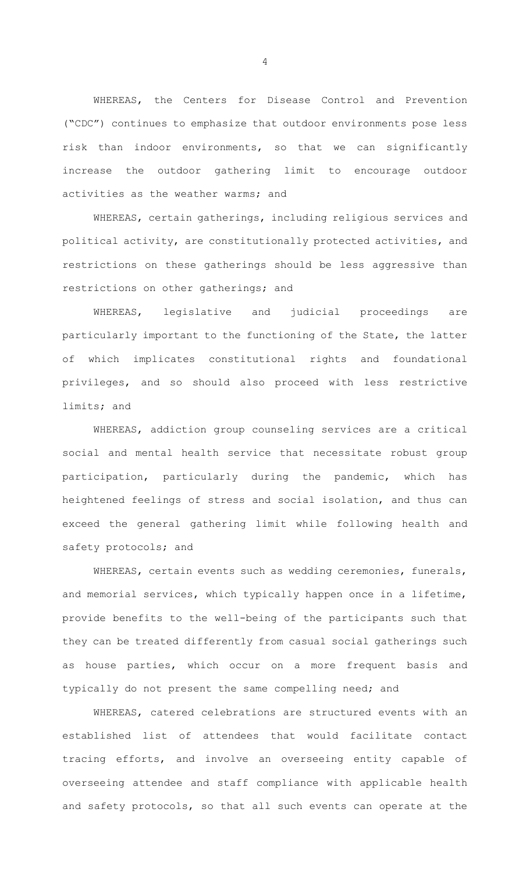WHEREAS, the Centers for Disease Control and Prevention ("CDC") continues to emphasize that outdoor environments pose less risk than indoor environments, so that we can significantly increase the outdoor gathering limit to encourage outdoor activities as the weather warms; and

WHEREAS, certain gatherings, including religious services and political activity, are constitutionally protected activities, and restrictions on these gatherings should be less aggressive than restrictions on other gatherings; and

WHEREAS, legislative and judicial proceedings are particularly important to the functioning of the State, the latter of which implicates constitutional rights and foundational privileges, and so should also proceed with less restrictive limits; and

WHEREAS, addiction group counseling services are a critical social and mental health service that necessitate robust group participation, particularly during the pandemic, which has heightened feelings of stress and social isolation, and thus can exceed the general gathering limit while following health and safety protocols; and

WHEREAS, certain events such as wedding ceremonies, funerals, and memorial services, which typically happen once in a lifetime, provide benefits to the well-being of the participants such that they can be treated differently from casual social gatherings such as house parties, which occur on a more frequent basis and typically do not present the same compelling need; and

WHEREAS, catered celebrations are structured events with an established list of attendees that would facilitate contact tracing efforts, and involve an overseeing entity capable of overseeing attendee and staff compliance with applicable health and safety protocols, so that all such events can operate at the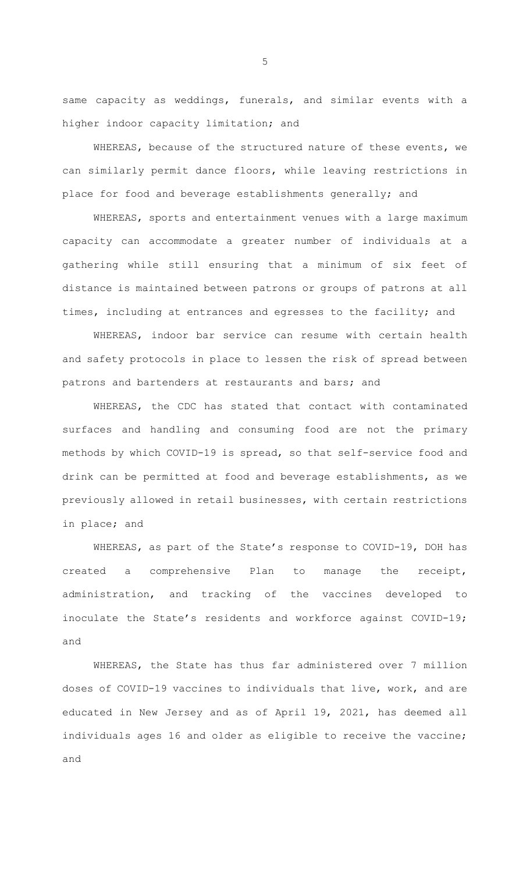same capacity as weddings, funerals, and similar events with a higher indoor capacity limitation; and

WHEREAS, because of the structured nature of these events, we can similarly permit dance floors, while leaving restrictions in place for food and beverage establishments generally; and

WHEREAS, sports and entertainment venues with a large maximum capacity can accommodate a greater number of individuals at a gathering while still ensuring that a minimum of six feet of distance is maintained between patrons or groups of patrons at all times, including at entrances and egresses to the facility; and

WHEREAS, indoor bar service can resume with certain health and safety protocols in place to lessen the risk of spread between patrons and bartenders at restaurants and bars; and

WHEREAS, the CDC has stated that contact with contaminated surfaces and handling and consuming food are not the primary methods by which COVID-19 is spread, so that self-service food and drink can be permitted at food and beverage establishments, as we previously allowed in retail businesses, with certain restrictions in place; and

WHEREAS, as part of the State's response to COVID-19, DOH has created a comprehensive Plan to manage the receipt, administration, and tracking of the vaccines developed to inoculate the State's residents and workforce against COVID-19; and

WHEREAS, the State has thus far administered over 7 million doses of COVID-19 vaccines to individuals that live, work, and are educated in New Jersey and as of April 19, 2021, has deemed all individuals ages 16 and older as eligible to receive the vaccine; and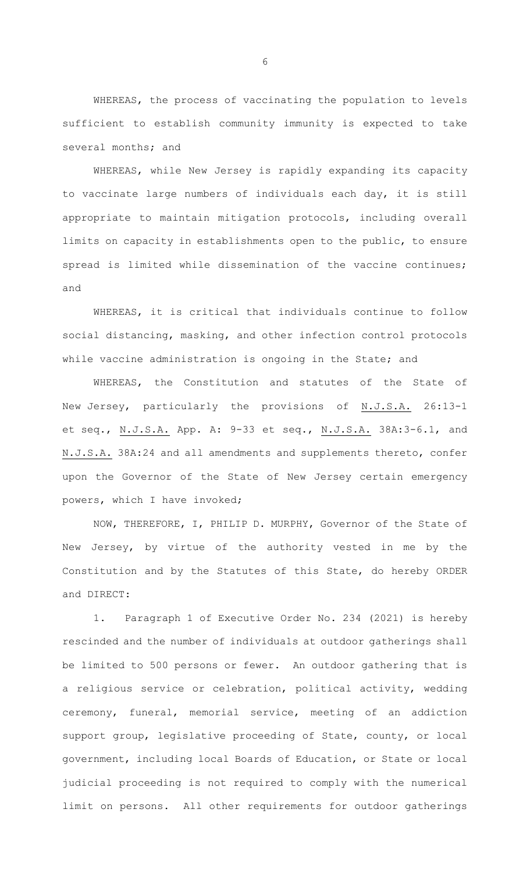WHEREAS, the process of vaccinating the population to levels sufficient to establish community immunity is expected to take several months; and

WHEREAS, while New Jersey is rapidly expanding its capacity to vaccinate large numbers of individuals each day, it is still appropriate to maintain mitigation protocols, including overall limits on capacity in establishments open to the public, to ensure spread is limited while dissemination of the vaccine continues; and

WHEREAS, it is critical that individuals continue to follow social distancing, masking, and other infection control protocols while vaccine administration is ongoing in the State; and

WHEREAS, the Constitution and statutes of the State of New Jersey, particularly the provisions of N.J.S.A. 26:13-1 et seq., N.J.S.A. App. A: 9-33 et seq., N.J.S.A. 38A:3-6.1, and N.J.S.A. 38A:24 and all amendments and supplements thereto, confer upon the Governor of the State of New Jersey certain emergency powers, which I have invoked;

NOW, THEREFORE, I, PHILIP D. MURPHY, Governor of the State of New Jersey, by virtue of the authority vested in me by the Constitution and by the Statutes of this State, do hereby ORDER and DIRECT:

1. Paragraph 1 of Executive Order No. 234 (2021) is hereby rescinded and the number of individuals at outdoor gatherings shall be limited to 500 persons or fewer. An outdoor gathering that is a religious service or celebration, political activity, wedding ceremony, funeral, memorial service, meeting of an addiction support group, legislative proceeding of State, county, or local government, including local Boards of Education, or State or local judicial proceeding is not required to comply with the numerical limit on persons. All other requirements for outdoor gatherings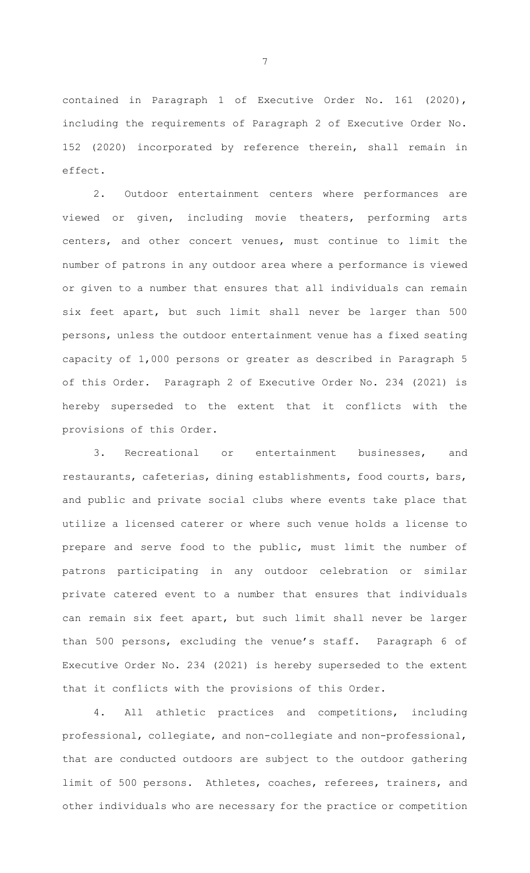contained in Paragraph 1 of Executive Order No. 161 (2020), including the requirements of Paragraph 2 of Executive Order No. 152 (2020) incorporated by reference therein, shall remain in effect.

2. Outdoor entertainment centers where performances are viewed or given, including movie theaters, performing arts centers, and other concert venues, must continue to limit the number of patrons in any outdoor area where a performance is viewed or given to a number that ensures that all individuals can remain six feet apart, but such limit shall never be larger than 500 persons, unless the outdoor entertainment venue has a fixed seating capacity of 1,000 persons or greater as described in Paragraph 5 of this Order. Paragraph 2 of Executive Order No. 234 (2021) is hereby superseded to the extent that it conflicts with the provisions of this Order.

3. Recreational or entertainment businesses, and restaurants, cafeterias, dining establishments, food courts, bars, and public and private social clubs where events take place that utilize a licensed caterer or where such venue holds a license to prepare and serve food to the public, must limit the number of patrons participating in any outdoor celebration or similar private catered event to a number that ensures that individuals can remain six feet apart, but such limit shall never be larger than 500 persons, excluding the venue's staff. Paragraph 6 of Executive Order No. 234 (2021) is hereby superseded to the extent that it conflicts with the provisions of this Order.

4. All athletic practices and competitions, including professional, collegiate, and non-collegiate and non-professional, that are conducted outdoors are subject to the outdoor gathering limit of 500 persons. Athletes, coaches, referees, trainers, and other individuals who are necessary for the practice or competition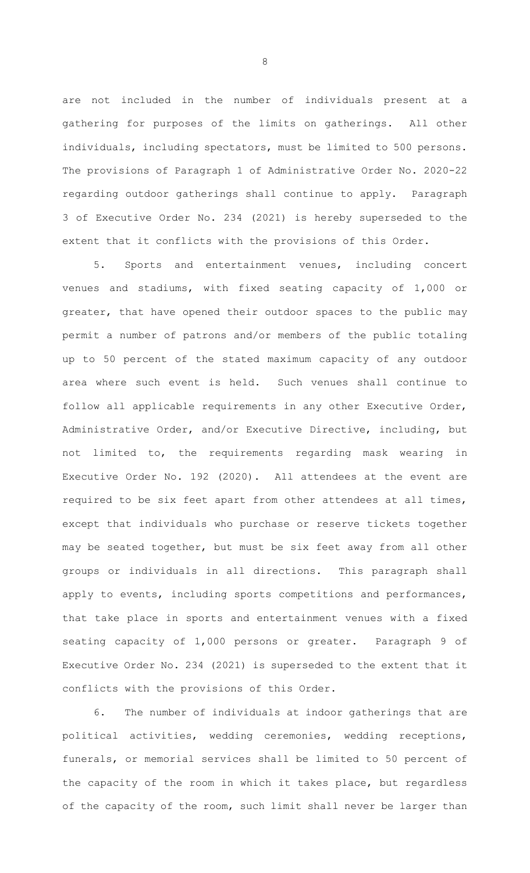are not included in the number of individuals present at a gathering for purposes of the limits on gatherings. All other individuals, including spectators, must be limited to 500 persons. The provisions of Paragraph 1 of Administrative Order No. 2020-22 regarding outdoor gatherings shall continue to apply. Paragraph 3 of Executive Order No. 234 (2021) is hereby superseded to the extent that it conflicts with the provisions of this Order.

5. Sports and entertainment venues, including concert venues and stadiums, with fixed seating capacity of 1,000 or greater, that have opened their outdoor spaces to the public may permit a number of patrons and/or members of the public totaling up to 50 percent of the stated maximum capacity of any outdoor area where such event is held. Such venues shall continue to follow all applicable requirements in any other Executive Order, Administrative Order, and/or Executive Directive, including, but not limited to, the requirements regarding mask wearing in Executive Order No. 192 (2020). All attendees at the event are required to be six feet apart from other attendees at all times, except that individuals who purchase or reserve tickets together may be seated together, but must be six feet away from all other groups or individuals in all directions. This paragraph shall apply to events, including sports competitions and performances, that take place in sports and entertainment venues with a fixed seating capacity of 1,000 persons or greater. Paragraph 9 of Executive Order No. 234 (2021) is superseded to the extent that it conflicts with the provisions of this Order.

6. The number of individuals at indoor gatherings that are political activities, wedding ceremonies, wedding receptions, funerals, or memorial services shall be limited to 50 percent of the capacity of the room in which it takes place, but regardless of the capacity of the room, such limit shall never be larger than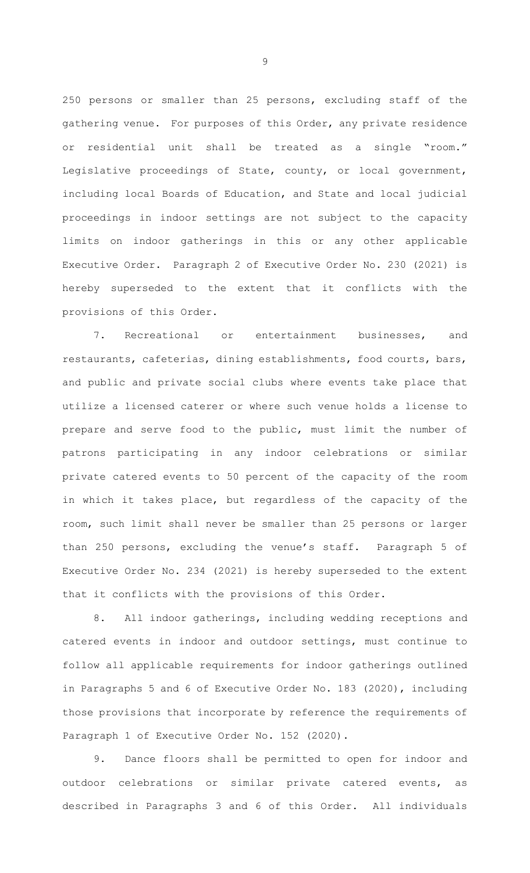250 persons or smaller than 25 persons, excluding staff of the gathering venue. For purposes of this Order, any private residence or residential unit shall be treated as a single "room." Legislative proceedings of State, county, or local government, including local Boards of Education, and State and local judicial proceedings in indoor settings are not subject to the capacity limits on indoor gatherings in this or any other applicable Executive Order. Paragraph 2 of Executive Order No. 230 (2021) is hereby superseded to the extent that it conflicts with the provisions of this Order.

7. Recreational or entertainment businesses, and restaurants, cafeterias, dining establishments, food courts, bars, and public and private social clubs where events take place that utilize a licensed caterer or where such venue holds a license to prepare and serve food to the public, must limit the number of patrons participating in any indoor celebrations or similar private catered events to 50 percent of the capacity of the room in which it takes place, but regardless of the capacity of the room, such limit shall never be smaller than 25 persons or larger than 250 persons, excluding the venue's staff. Paragraph 5 of Executive Order No. 234 (2021) is hereby superseded to the extent that it conflicts with the provisions of this Order.

8. All indoor gatherings, including wedding receptions and catered events in indoor and outdoor settings, must continue to follow all applicable requirements for indoor gatherings outlined in Paragraphs 5 and 6 of Executive Order No. 183 (2020), including those provisions that incorporate by reference the requirements of Paragraph 1 of Executive Order No. 152 (2020).

9. Dance floors shall be permitted to open for indoor and outdoor celebrations or similar private catered events, as described in Paragraphs 3 and 6 of this Order. All individuals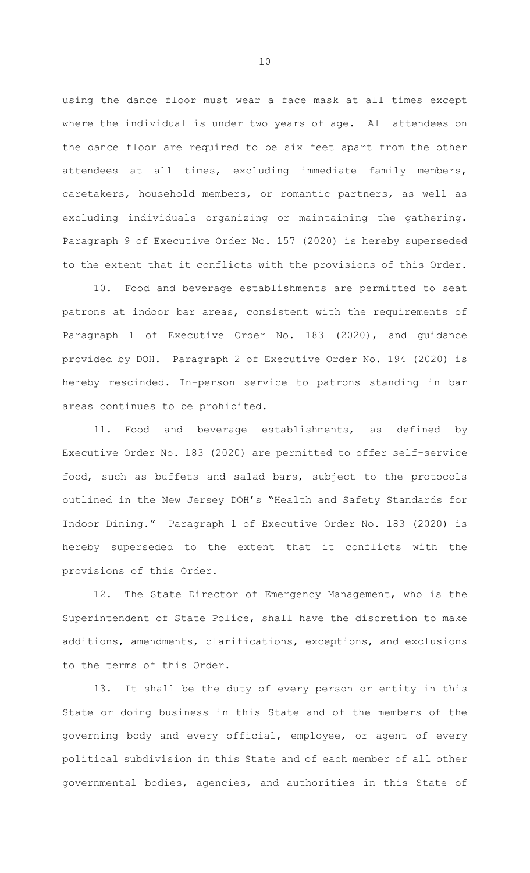using the dance floor must wear a face mask at all times except where the individual is under two years of age. All attendees on the dance floor are required to be six feet apart from the other attendees at all times, excluding immediate family members, caretakers, household members, or romantic partners, as well as excluding individuals organizing or maintaining the gathering. Paragraph 9 of Executive Order No. 157 (2020) is hereby superseded to the extent that it conflicts with the provisions of this Order.

10. Food and beverage establishments are permitted to seat patrons at indoor bar areas, consistent with the requirements of Paragraph 1 of Executive Order No. 183 (2020), and guidance provided by DOH. Paragraph 2 of Executive Order No. 194 (2020) is hereby rescinded. In-person service to patrons standing in bar areas continues to be prohibited.

11. Food and beverage establishments, as defined by Executive Order No. 183 (2020) are permitted to offer self-service food, such as buffets and salad bars, subject to the protocols outlined in the New Jersey DOH's "Health and Safety Standards for Indoor Dining." Paragraph 1 of Executive Order No. 183 (2020) is hereby superseded to the extent that it conflicts with the provisions of this Order.

12. The State Director of Emergency Management, who is the Superintendent of State Police, shall have the discretion to make additions, amendments, clarifications, exceptions, and exclusions to the terms of this Order.

13. It shall be the duty of every person or entity in this State or doing business in this State and of the members of the governing body and every official, employee, or agent of every political subdivision in this State and of each member of all other governmental bodies, agencies, and authorities in this State of